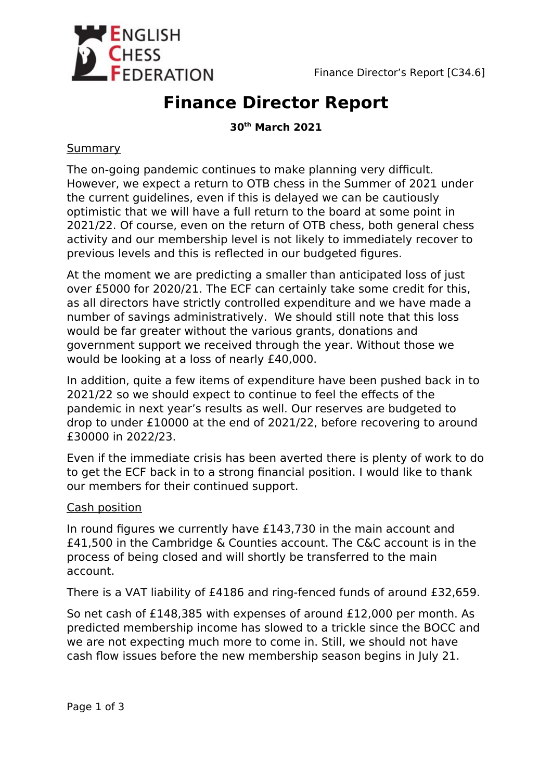

# **Finance Director Report**

## **30th March 2021**

## **Summary**

The on-going pandemic continues to make planning very difficult. However, we expect a return to OTB chess in the Summer of 2021 under the current guidelines, even if this is delayed we can be cautiously optimistic that we will have a full return to the board at some point in 2021/22. Of course, even on the return of OTB chess, both general chess activity and our membership level is not likely to immediately recover to previous levels and this is reflected in our budgeted figures.

At the moment we are predicting a smaller than anticipated loss of just over £5000 for 2020/21. The ECF can certainly take some credit for this, as all directors have strictly controlled expenditure and we have made a number of savings administratively. We should still note that this loss would be far greater without the various grants, donations and government support we received through the year. Without those we would be looking at a loss of nearly £40,000.

In addition, quite a few items of expenditure have been pushed back in to 2021/22 so we should expect to continue to feel the effects of the pandemic in next year's results as well. Our reserves are budgeted to drop to under £10000 at the end of 2021/22, before recovering to around £30000 in 2022/23.

Even if the immediate crisis has been averted there is plenty of work to do to get the ECF back in to a strong financial position. I would like to thank our members for their continued support.

#### Cash position

In round figures we currently have £143,730 in the main account and £41,500 in the Cambridge & Counties account. The C&C account is in the process of being closed and will shortly be transferred to the main account.

There is a VAT liability of £4186 and ring-fenced funds of around £32,659.

So net cash of £148,385 with expenses of around £12,000 per month. As predicted membership income has slowed to a trickle since the BOCC and we are not expecting much more to come in. Still, we should not have cash flow issues before the new membership season begins in July 21.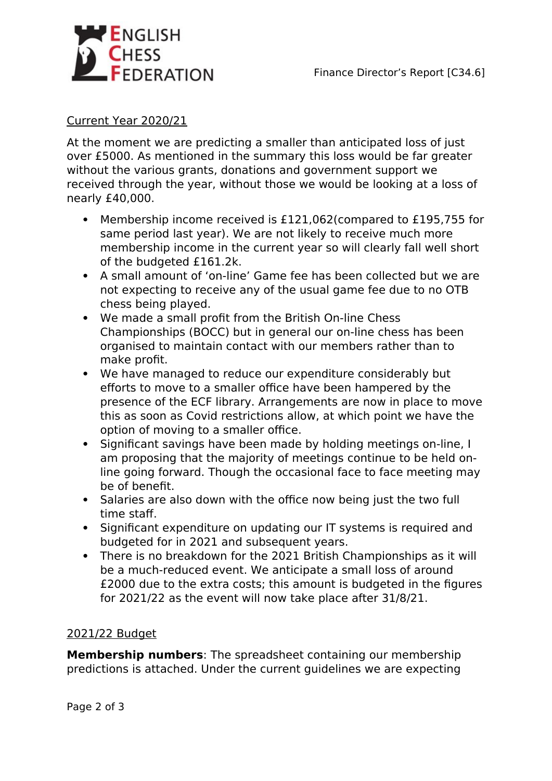

#### Current Year 2020/21

At the moment we are predicting a smaller than anticipated loss of just over £5000. As mentioned in the summary this loss would be far greater without the various grants, donations and government support we received through the year, without those we would be looking at a loss of nearly £40,000.

- Membership income received is £121,062(compared to £195,755 for same period last year). We are not likely to receive much more membership income in the current year so will clearly fall well short of the budgeted £161.2k.
- A small amount of 'on-line' Game fee has been collected but we are not expecting to receive any of the usual game fee due to no OTB chess being played.
- We made a small profit from the British On-line Chess Championships (BOCC) but in general our on-line chess has been organised to maintain contact with our members rather than to make profit.
- We have managed to reduce our expenditure considerably but efforts to move to a smaller office have been hampered by the presence of the ECF library. Arrangements are now in place to move this as soon as Covid restrictions allow, at which point we have the option of moving to a smaller office.
- Significant savings have been made by holding meetings on-line, I am proposing that the majority of meetings continue to be held online going forward. Though the occasional face to face meeting may be of benefit.
- Salaries are also down with the office now being just the two full time staff.
- Significant expenditure on updating our IT systems is required and budgeted for in 2021 and subsequent years.
- There is no breakdown for the 2021 British Championships as it will be a much-reduced event. We anticipate a small loss of around £2000 due to the extra costs; this amount is budgeted in the figures for 2021/22 as the event will now take place after 31/8/21.

# 2021/22 Budget

**Membership numbers**: The spreadsheet containing our membership predictions is attached. Under the current guidelines we are expecting